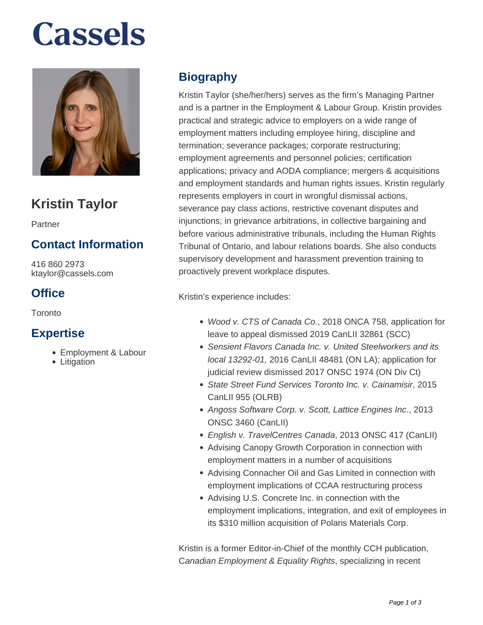# **Cassels**



# **Kristin Taylor**

Partner

## **Contact Information**

416 860 2973 ktaylor@cassels.com

## **Office**

Toronto

#### **Expertise**

- Employment & Labour
- Litigation

# **Biography**

Kristin Taylor (she/her/hers) serves as the firm's Managing Partner and is a partner in the Employment & Labour Group. Kristin provides practical and strategic advice to employers on a wide range of employment matters including employee hiring, discipline and termination; severance packages; corporate restructuring; employment agreements and personnel policies; certification applications; privacy and AODA compliance; mergers & acquisitions and employment standards and human rights issues. Kristin regularly represents employers in court in wrongful dismissal actions, severance pay class actions, restrictive covenant disputes and injunctions; in grievance arbitrations, in collective bargaining and before various administrative tribunals, including the Human Rights Tribunal of Ontario, and labour relations boards. She also conducts supervisory development and harassment prevention training to proactively prevent workplace disputes.

Kristin's experience includes:

- Wood v. CTS of Canada Co., 2018 ONCA 758, application for leave to appeal dismissed 2019 CanLII 32861 (SCC)
- Sensient Flavors Canada Inc. v. United Steelworkers and its local 13292-01, 2016 CanLII 48481 (ON LA); application for judicial review dismissed 2017 ONSC 1974 (ON Div Ct)
- State Street Fund Services Toronto Inc. v. Cainamisir, 2015 CanLII 955 (OLRB)
- Angoss Software Corp. v. Scott, Lattice Engines Inc., 2013 ONSC 3460 (CanLII)
- English v. TravelCentres Canada, 2013 ONSC 417 (CanLII)
- Advising Canopy Growth Corporation in connection with employment matters in a number of acquisitions
- Advising Connacher Oil and Gas Limited in connection with employment implications of CCAA restructuring process
- Advising U.S. Concrete Inc. in connection with the employment implications, integration, and exit of employees in its \$310 million acquisition of Polaris Materials Corp.

Kristin is a former Editor-in-Chief of the monthly CCH publication, Canadian Employment & Equality Rights, specializing in recent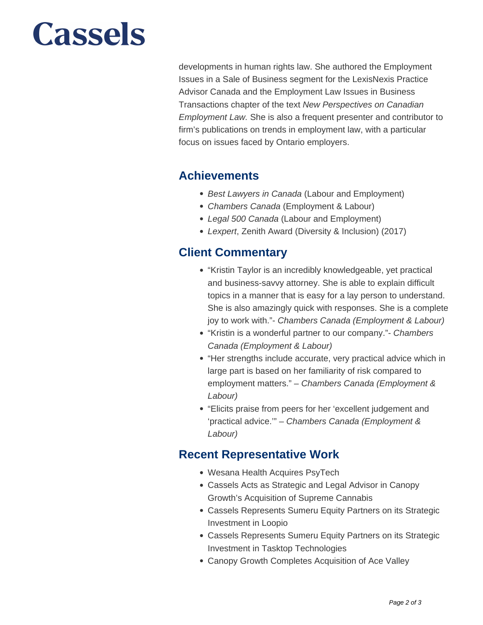# **Cassels**

developments in human rights law. She authored the Employment Issues in a Sale of Business segment for the LexisNexis Practice Advisor Canada and the Employment Law Issues in Business Transactions chapter of the text New Perspectives on Canadian Employment Law. She is also a frequent presenter and contributor to firm's publications on trends in employment law, with a particular focus on issues faced by Ontario employers.

#### **Achievements**

- Best Lawyers in Canada (Labour and Employment)
- Chambers Canada (Employment & Labour)
- Legal 500 Canada (Labour and Employment)
- Lexpert, Zenith Award (Diversity & Inclusion) (2017)

### **Client Commentary**

- "Kristin Taylor is an incredibly knowledgeable, yet practical and business-savvy attorney. She is able to explain difficult topics in a manner that is easy for a lay person to understand. She is also amazingly quick with responses. She is a complete joy to work with."- Chambers Canada (Employment & Labour)
- "Kristin is a wonderful partner to our company." Chambers Canada (Employment & Labour)
- "Her strengths include accurate, very practical advice which in large part is based on her familiarity of risk compared to employment matters." – Chambers Canada (Employment & Labour)
- "Elicits praise from peers for her 'excellent judgement and 'practical advice.'" – Chambers Canada (Employment & Labour)

#### **Recent Representative Work**

- Wesana Health Acquires PsyTech
- Cassels Acts as Strategic and Legal Advisor in Canopy Growth's Acquisition of Supreme Cannabis
- Cassels Represents Sumeru Equity Partners on its Strategic Investment in Loopio
- Cassels Represents Sumeru Equity Partners on its Strategic Investment in Tasktop Technologies
- Canopy Growth Completes Acquisition of Ace Valley